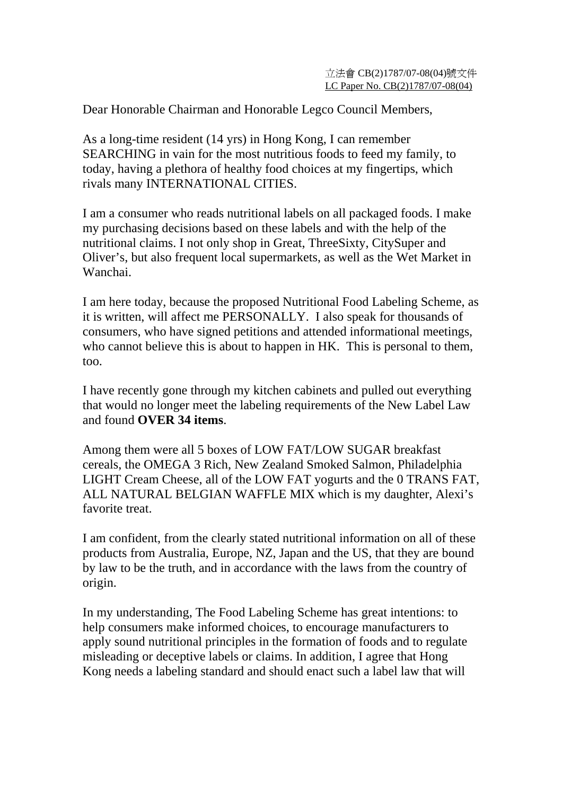Dear Honorable Chairman and Honorable Legco Council Members,

As a long-time resident (14 yrs) in Hong Kong, I can remember SEARCHING in vain for the most nutritious foods to feed my family, to today, having a plethora of healthy food choices at my fingertips, which rivals many INTERNATIONAL CITIES.

I am a consumer who reads nutritional labels on all packaged foods. I make my purchasing decisions based on these labels and with the help of the nutritional claims. I not only shop in Great, ThreeSixty, CitySuper and Oliver's, but also frequent local supermarkets, as well as the Wet Market in Wanchai.

I am here today, because the proposed Nutritional Food Labeling Scheme, as it is written, will affect me PERSONALLY. I also speak for thousands of consumers, who have signed petitions and attended informational meetings, who cannot believe this is about to happen in HK. This is personal to them, too.

I have recently gone through my kitchen cabinets and pulled out everything that would no longer meet the labeling requirements of the New Label Law and found **OVER 34 items**.

Among them were all 5 boxes of LOW FAT/LOW SUGAR breakfast cereals, the OMEGA 3 Rich, New Zealand Smoked Salmon, Philadelphia LIGHT Cream Cheese, all of the LOW FAT yogurts and the 0 TRANS FAT, ALL NATURAL BELGIAN WAFFLE MIX which is my daughter, Alexi's favorite treat.

I am confident, from the clearly stated nutritional information on all of these products from Australia, Europe, NZ, Japan and the US, that they are bound by law to be the truth, and in accordance with the laws from the country of origin.

In my understanding, The Food Labeling Scheme has great intentions: to help consumers make informed choices, to encourage manufacturers to apply sound nutritional principles in the formation of foods and to regulate misleading or deceptive labels or claims. In addition, I agree that Hong Kong needs a labeling standard and should enact such a label law that will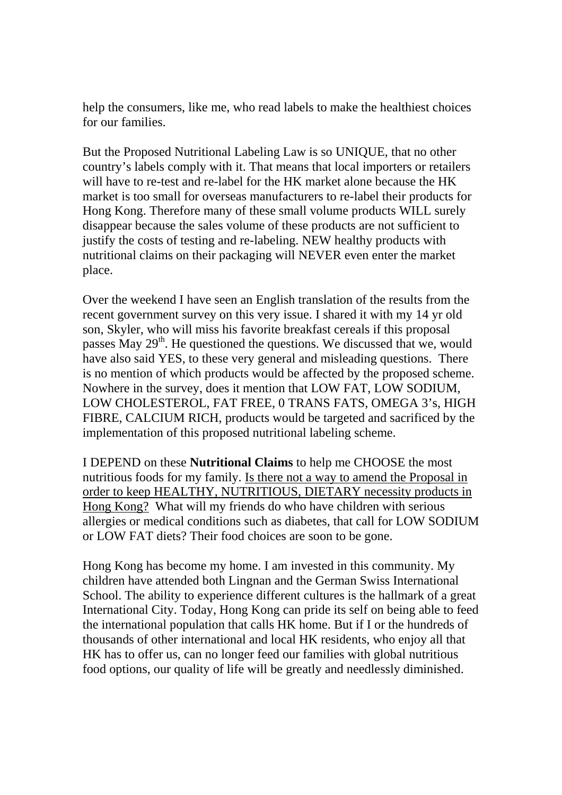help the consumers, like me, who read labels to make the healthiest choices for our families.

But the Proposed Nutritional Labeling Law is so UNIQUE, that no other country's labels comply with it. That means that local importers or retailers will have to re-test and re-label for the HK market alone because the HK market is too small for overseas manufacturers to re-label their products for Hong Kong. Therefore many of these small volume products WILL surely disappear because the sales volume of these products are not sufficient to justify the costs of testing and re-labeling. NEW healthy products with nutritional claims on their packaging will NEVER even enter the market place.

Over the weekend I have seen an English translation of the results from the recent government survey on this very issue. I shared it with my 14 yr old son, Skyler, who will miss his favorite breakfast cereals if this proposal passes May  $29<sup>th</sup>$ . He questioned the questions. We discussed that we, would have also said YES, to these very general and misleading questions. There is no mention of which products would be affected by the proposed scheme. Nowhere in the survey, does it mention that LOW FAT, LOW SODIUM, LOW CHOLESTEROL, FAT FREE, 0 TRANS FATS, OMEGA 3's, HIGH FIBRE, CALCIUM RICH, products would be targeted and sacrificed by the implementation of this proposed nutritional labeling scheme.

I DEPEND on these **Nutritional Claims** to help me CHOOSE the most nutritious foods for my family. Is there not a way to amend the Proposal in order to keep HEALTHY, NUTRITIOUS, DIETARY necessity products in Hong Kong? What will my friends do who have children with serious allergies or medical conditions such as diabetes, that call for LOW SODIUM or LOW FAT diets? Their food choices are soon to be gone.

Hong Kong has become my home. I am invested in this community. My children have attended both Lingnan and the German Swiss International School. The ability to experience different cultures is the hallmark of a great International City. Today, Hong Kong can pride its self on being able to feed the international population that calls HK home. But if I or the hundreds of thousands of other international and local HK residents, who enjoy all that HK has to offer us, can no longer feed our families with global nutritious food options, our quality of life will be greatly and needlessly diminished.